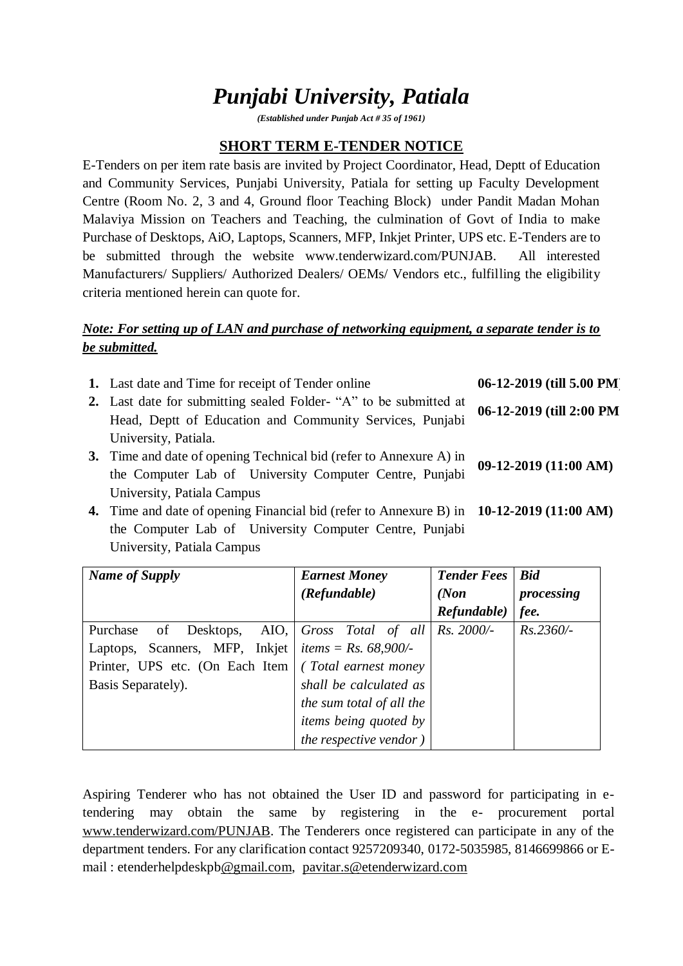# *Punjabi University, Patiala*

*(Established under Punjab Act # 35 of 1961)*

# **SHORT TERM E-TENDER NOTICE**

E-Tenders on per item rate basis are invited by Project Coordinator, Head, Deptt of Education and Community Services, Punjabi University, Patiala for setting up Faculty Development Centre (Room No. 2, 3 and 4, Ground floor Teaching Block) under Pandit Madan Mohan Malaviya Mission on Teachers and Teaching, the culmination of Govt of India to make Purchase of Desktops, AiO, Laptops, Scanners, MFP, Inkjet Printer, UPS etc. E-Tenders are to be submitted through the website www.tenderwizard.com/PUNJAB. All interested Manufacturers/ Suppliers/ Authorized Dealers/ OEMs/ Vendors etc., fulfilling the eligibility criteria mentioned herein can quote for.

### *Note: For setting up of LAN and purchase of networking equipment, a separate tender is to be submitted.*

| 1. Last date and Time for receipt of Tender online                 | 06-12-2019 (till 5.00 PM) |  |  |
|--------------------------------------------------------------------|---------------------------|--|--|
| 2. Last date for submitting sealed Folder- "A" to be submitted at  | 06-12-2019 (till 2:00 PM  |  |  |
| Head, Deptt of Education and Community Services, Punjabi           |                           |  |  |
| University, Patiala.                                               |                           |  |  |
| 3. Time and date of opening Technical bid (refer to Annexure A) in | 09-12-2019 (11:00 AM)     |  |  |
| the Computer Lab of University Computer Centre, Punjabi            |                           |  |  |
| University, Patiala Campus                                         |                           |  |  |
|                                                                    |                           |  |  |

**4.** Time and date of opening Financial bid (refer to Annexure B) in **10-12-2019 (11:00 AM)** the Computer Lab of University Computer Centre, Punjabi University, Patiala Campus

| <b>Name of Supply</b>           | <b>Earnest Money</b>              | <b>Tender Fees</b> | <b>Bid</b>  |
|---------------------------------|-----------------------------------|--------------------|-------------|
|                                 | (Refundable)                      | (Non)              | processing  |
|                                 |                                   | Refundable)        | fee.        |
| Purchase<br>of                  | Desktops, AIO, Gross Total of all | Rs. 2000/-         | $Rs.2360/-$ |
| Laptops, Scanners, MFP, Inkjet  | <i>items</i> = $Rs. 68,900/-$     |                    |             |
| Printer, UPS etc. (On Each Item | (Total earnest money)             |                    |             |
| Basis Separately).              | shall be calculated as            |                    |             |
|                                 | the sum total of all the          |                    |             |
|                                 | <i>items being quoted by</i>      |                    |             |
|                                 | the respective vendor)            |                    |             |

Aspiring Tenderer who has not obtained the User ID and password for participating in etendering may obtain the same by registering in the e- procurement portal [www.tenderwizard.com/PUNJAB.](http://www.tenderwizard.com/PUNJAB) The Tenderers once registered can participate in any of the department tenders. For any clarification contact 9257209340, 0172-5035985, 8146699866 or Email : etenderhelpdeskp[b@gmail.com,](mailto:@gmail.com) [pavitar.s@etenderwizard.com](mailto:pavitar.s@etenderwizard.com)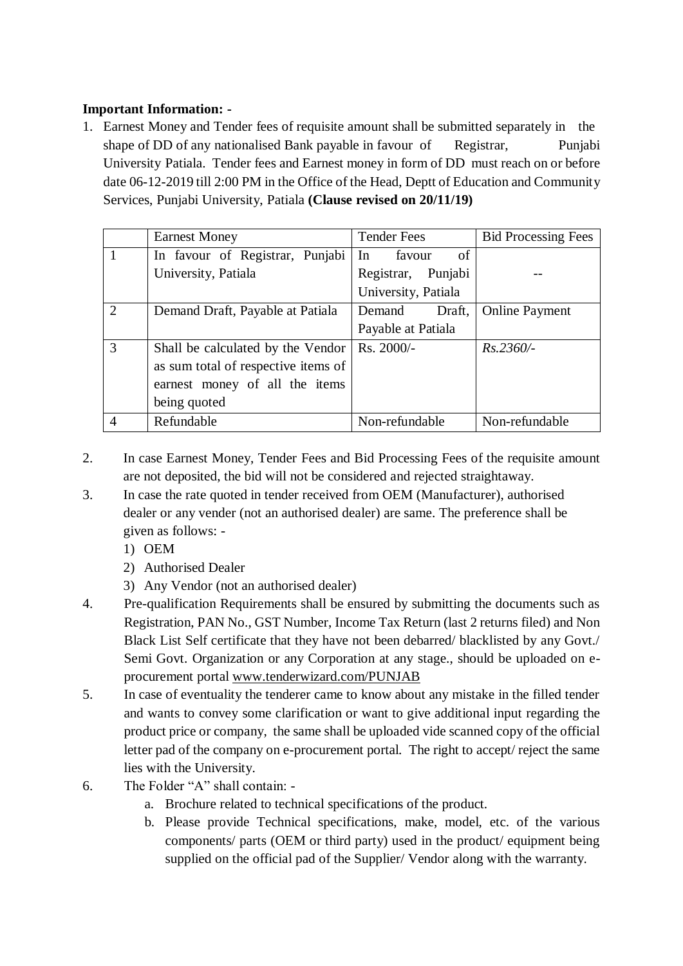## **Important Information: -**

1. Earnest Money and Tender fees of requisite amount shall be submitted separately in the shape of DD of any nationalised Bank payable in favour of Registrar, Punjabi University Patiala. Tender fees and Earnest money in form of DD must reach on or before date 06-12-2019 till 2:00 PM in the Office of the Head, Deptt of Education and Community Services, Punjabi University, Patiala **(Clause revised on 20/11/19)**

|                | <b>Earnest Money</b>                | <b>Tender Fees</b>  | <b>Bid Processing Fees</b> |
|----------------|-------------------------------------|---------------------|----------------------------|
| $\mathbf{1}$   | In favour of Registrar, Punjabi     | of<br>In<br>favour  |                            |
|                | University, Patiala                 | Registrar, Punjabi  |                            |
|                |                                     | University, Patiala |                            |
| 2              | Demand Draft, Payable at Patiala    | Demand<br>Draft,    | <b>Online Payment</b>      |
|                |                                     | Payable at Patiala  |                            |
| $\overline{3}$ | Shall be calculated by the Vendor   | Rs. 2000/-          | $Rs.2360/-$                |
|                | as sum total of respective items of |                     |                            |
|                | earnest money of all the items      |                     |                            |
|                | being quoted                        |                     |                            |
| $\overline{4}$ | Refundable                          | Non-refundable      | Non-refundable             |

- 2. In case Earnest Money, Tender Fees and Bid Processing Fees of the requisite amount are not deposited, the bid will not be considered and rejected straightaway.
- 3. In case the rate quoted in tender received from OEM (Manufacturer), authorised dealer or any vender (not an authorised dealer) are same. The preference shall be given as follows: -
	- 1) OEM
	- 2) Authorised Dealer
	- 3) Any Vendor (not an authorised dealer)
- 4. Pre-qualification Requirements shall be ensured by submitting the documents such as Registration, PAN No., GST Number, Income Tax Return (last 2 returns filed) and Non Black List Self certificate that they have not been debarred/ blacklisted by any Govt./ Semi Govt. Organization or any Corporation at any stage., should be uploaded on eprocurement portal [www.tenderwizard.com/PUNJAB](http://www.tenderwizard.com/PUNJAB)
- 5. In case of eventuality the tenderer came to know about any mistake in the filled tender and wants to convey some clarification or want to give additional input regarding the product price or company, the same shall be uploaded vide scanned copy of the official letter pad of the company on e-procurement portal. The right to accept/ reject the same lies with the University.
- 6. The Folder "A" shall contain:
	- a. Brochure related to technical specifications of the product.
	- b. Please provide Technical specifications, make, model, etc. of the various components/ parts (OEM or third party) used in the product/ equipment being supplied on the official pad of the Supplier/ Vendor along with the warranty.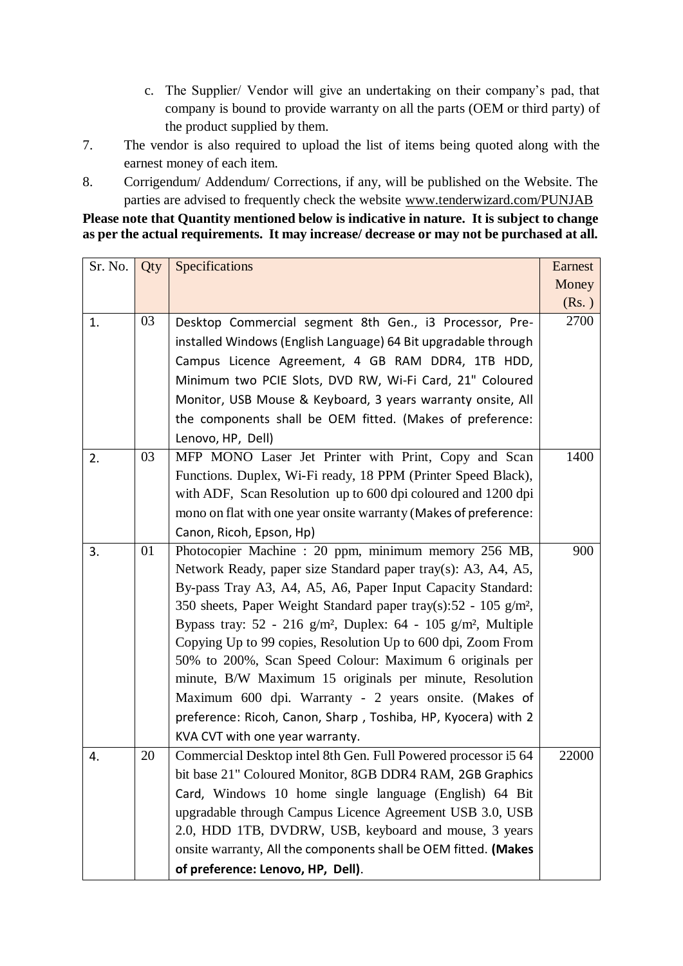- c. The Supplier/ Vendor will give an undertaking on their company's pad, that company is bound to provide warranty on all the parts (OEM or third party) of the product supplied by them.
- 7. The vendor is also required to upload the list of items being quoted along with the earnest money of each item.
- 8. Corrigendum/ Addendum/ Corrections, if any, will be published on the Website. The parties are advised to frequently check the website [www.tenderwizard.com/PUNJAB](http://www.tenderwizard.com/PUNJAB)

**Please note that Quantity mentioned below is indicative in nature. It is subject to change as per the actual requirements. It may increase/ decrease or may not be purchased at all.**

| Sr. No. | Qty | Specifications                                                                        | Earnest |
|---------|-----|---------------------------------------------------------------------------------------|---------|
|         |     |                                                                                       | Money   |
|         |     |                                                                                       | (Rs.)   |
| 1.      | 03  | Desktop Commercial segment 8th Gen., i3 Processor, Pre-                               | 2700    |
|         |     | installed Windows (English Language) 64 Bit upgradable through                        |         |
|         |     | Campus Licence Agreement, 4 GB RAM DDR4, 1TB HDD,                                     |         |
|         |     | Minimum two PCIE Slots, DVD RW, Wi-Fi Card, 21" Coloured                              |         |
|         |     | Monitor, USB Mouse & Keyboard, 3 years warranty onsite, All                           |         |
|         |     | the components shall be OEM fitted. (Makes of preference:                             |         |
|         |     | Lenovo, HP, Dell)                                                                     |         |
| 2.      | 03  | MFP MONO Laser Jet Printer with Print, Copy and Scan                                  | 1400    |
|         |     | Functions. Duplex, Wi-Fi ready, 18 PPM (Printer Speed Black),                         |         |
|         |     | with ADF, Scan Resolution up to 600 dpi coloured and 1200 dpi                         |         |
|         |     | mono on flat with one year onsite warranty (Makes of preference:                      |         |
|         |     | Canon, Ricoh, Epson, Hp)                                                              |         |
| 3.      | 01  | Photocopier Machine : 20 ppm, minimum memory 256 MB,                                  | 900     |
|         |     | Network Ready, paper size Standard paper tray(s): A3, A4, A5,                         |         |
|         |     | By-pass Tray A3, A4, A5, A6, Paper Input Capacity Standard:                           |         |
|         |     | 350 sheets, Paper Weight Standard paper tray(s):52 - 105 g/m <sup>2</sup> ,           |         |
|         |     | Bypass tray: 52 - 216 g/m <sup>2</sup> , Duplex: 64 - 105 g/m <sup>2</sup> , Multiple |         |
|         |     | Copying Up to 99 copies, Resolution Up to 600 dpi, Zoom From                          |         |
|         |     | 50% to 200%, Scan Speed Colour: Maximum 6 originals per                               |         |
|         |     | minute, B/W Maximum 15 originals per minute, Resolution                               |         |
|         |     | Maximum 600 dpi. Warranty - 2 years onsite. (Makes of                                 |         |
|         |     | preference: Ricoh, Canon, Sharp, Toshiba, HP, Kyocera) with 2                         |         |
|         |     | KVA CVT with one year warranty.                                                       |         |
| 4.      | 20  | Commercial Desktop intel 8th Gen. Full Powered processor i5 64                        | 22000   |
|         |     | bit base 21" Coloured Monitor, 8GB DDR4 RAM, 2GB Graphics                             |         |
|         |     | Card, Windows 10 home single language (English) 64 Bit                                |         |
|         |     | upgradable through Campus Licence Agreement USB 3.0, USB                              |         |
|         |     | 2.0, HDD 1TB, DVDRW, USB, keyboard and mouse, 3 years                                 |         |
|         |     | onsite warranty, All the components shall be OEM fitted. (Makes                       |         |
|         |     | of preference: Lenovo, HP, Dell).                                                     |         |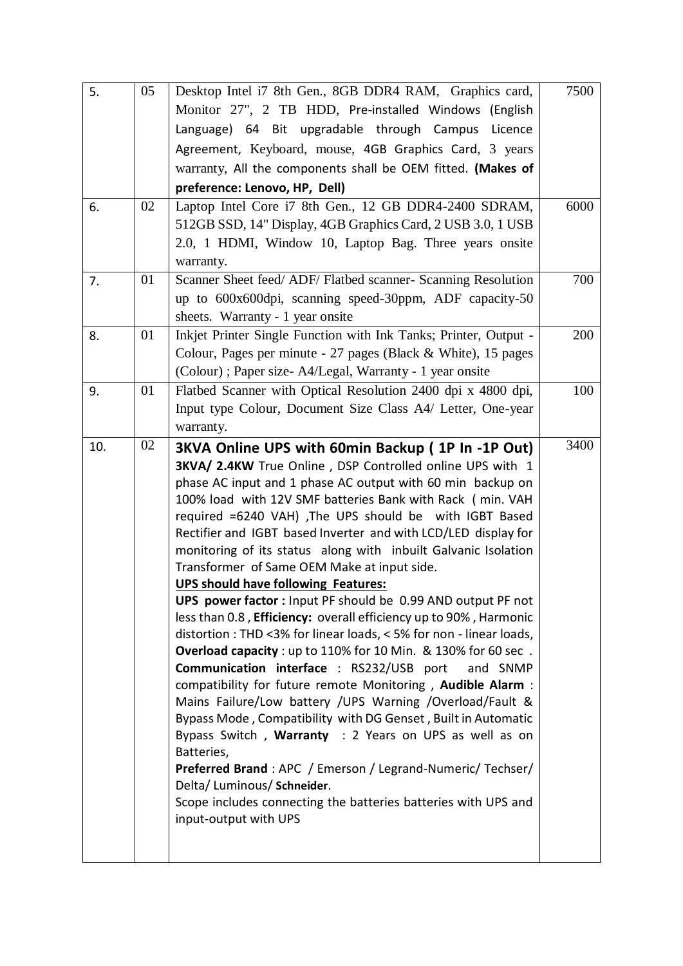| 5.  | 05 | Desktop Intel i7 8th Gen., 8GB DDR4 RAM, Graphics card,                                                   | 7500 |
|-----|----|-----------------------------------------------------------------------------------------------------------|------|
|     |    | Monitor 27", 2 TB HDD, Pre-installed Windows (English                                                     |      |
|     |    | Language) 64 Bit upgradable through Campus Licence                                                        |      |
|     |    | Agreement, Keyboard, mouse, 4GB Graphics Card, 3 years                                                    |      |
|     |    | warranty, All the components shall be OEM fitted. (Makes of                                               |      |
|     |    | preference: Lenovo, HP, Dell)                                                                             |      |
| 6.  | 02 | Laptop Intel Core i7 8th Gen., 12 GB DDR4-2400 SDRAM,                                                     | 6000 |
|     |    | 512GB SSD, 14" Display, 4GB Graphics Card, 2 USB 3.0, 1 USB                                               |      |
|     |    | 2.0, 1 HDMI, Window 10, Laptop Bag. Three years onsite                                                    |      |
|     |    | warranty.                                                                                                 |      |
| 7.  | 01 | Scanner Sheet feed/ ADF/ Flatbed scanner- Scanning Resolution                                             | 700  |
|     |    | up to 600x600dpi, scanning speed-30ppm, ADF capacity-50                                                   |      |
|     |    | sheets. Warranty - 1 year onsite                                                                          |      |
| 8.  | 01 | Inkjet Printer Single Function with Ink Tanks; Printer, Output -                                          | 200  |
|     |    | Colour, Pages per minute - 27 pages (Black & White), 15 pages                                             |      |
|     |    | (Colour); Paper size-A4/Legal, Warranty - 1 year onsite                                                   |      |
| 9.  | 01 | Flatbed Scanner with Optical Resolution 2400 dpi x 4800 dpi,                                              | 100  |
|     |    | Input type Colour, Document Size Class A4/ Letter, One-year                                               |      |
|     |    | warranty.                                                                                                 |      |
| 10. | 02 | 3KVA Online UPS with 60min Backup (1P In -1P Out)                                                         | 3400 |
|     |    | 3KVA/ 2.4KW True Online, DSP Controlled online UPS with 1                                                 |      |
|     |    |                                                                                                           |      |
|     |    | phase AC input and 1 phase AC output with 60 min backup on                                                |      |
|     |    | 100% load with 12V SMF batteries Bank with Rack (min. VAH                                                 |      |
|     |    | required =6240 VAH) , The UPS should be with IGBT Based                                                   |      |
|     |    | Rectifier and IGBT based Inverter and with LCD/LED display for                                            |      |
|     |    | monitoring of its status along with inbuilt Galvanic Isolation                                            |      |
|     |    | Transformer of Same OEM Make at input side.                                                               |      |
|     |    | <b>UPS should have following Features:</b><br>UPS power factor: Input PF should be 0.99 AND output PF not |      |
|     |    | less than 0.8, Efficiency: overall efficiency up to 90%, Harmonic                                         |      |
|     |    | distortion : THD <3% for linear loads, < 5% for non - linear loads,                                       |      |
|     |    | Overload capacity : up to 110% for 10 Min. & 130% for 60 sec.                                             |      |
|     |    | <b>Communication interface</b> : RS232/USB port<br>and SNMP                                               |      |
|     |    | compatibility for future remote Monitoring, Audible Alarm :                                               |      |
|     |    | Mains Failure/Low battery /UPS Warning /Overload/Fault &                                                  |      |
|     |    | Bypass Mode, Compatibility with DG Genset, Built in Automatic                                             |      |
|     |    | Bypass Switch, Warranty : 2 Years on UPS as well as on                                                    |      |
|     |    | Batteries,<br>Preferred Brand: APC / Emerson / Legrand-Numeric/ Techser/                                  |      |
|     |    | Delta/ Luminous/ Schneider.                                                                               |      |
|     |    | Scope includes connecting the batteries batteries with UPS and                                            |      |
|     |    | input-output with UPS                                                                                     |      |
|     |    |                                                                                                           |      |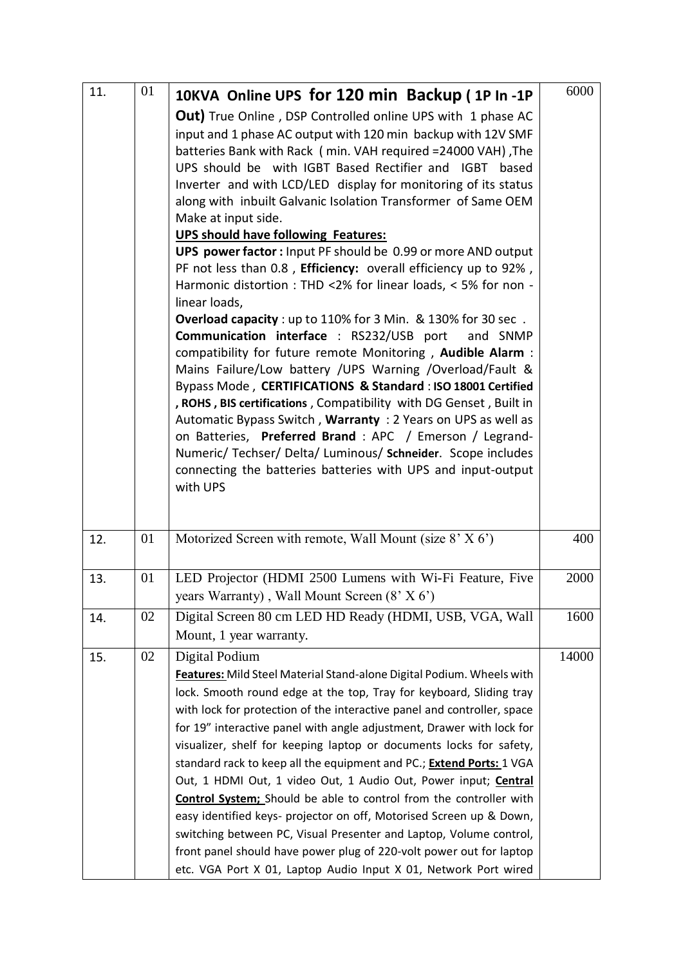| 11. | 01 | 10KVA Online UPS for 120 min Backup (1P In -1P                                                                                               | 6000  |
|-----|----|----------------------------------------------------------------------------------------------------------------------------------------------|-------|
|     |    | Out) True Online, DSP Controlled online UPS with 1 phase AC<br>input and 1 phase AC output with 120 min backup with 12V SMF                  |       |
|     |    | batteries Bank with Rack (min. VAH required = 24000 VAH), The                                                                                |       |
|     |    | UPS should be with IGBT Based Rectifier and IGBT based                                                                                       |       |
|     |    | Inverter and with LCD/LED display for monitoring of its status                                                                               |       |
|     |    | along with inbuilt Galvanic Isolation Transformer of Same OEM<br>Make at input side.                                                         |       |
|     |    | <b>UPS should have following Features:</b>                                                                                                   |       |
|     |    | UPS power factor : Input PF should be 0.99 or more AND output                                                                                |       |
|     |    | PF not less than 0.8, Efficiency: overall efficiency up to 92%,<br>Harmonic distortion : THD <2% for linear loads, < 5% for non -            |       |
|     |    | linear loads,                                                                                                                                |       |
|     |    | Overload capacity : up to 110% for 3 Min. & 130% for 30 sec.<br>Communication interface : RS232/USB port<br>and SNMP                         |       |
|     |    | compatibility for future remote Monitoring, Audible Alarm :<br>Mains Failure/Low battery /UPS Warning /Overload/Fault &                      |       |
|     |    | Bypass Mode, CERTIFICATIONS & Standard: ISO 18001 Certified                                                                                  |       |
|     |    | , ROHS, BIS certifications, Compatibility with DG Genset, Built in<br>Automatic Bypass Switch, Warranty: 2 Years on UPS as well as           |       |
|     |    | on Batteries, Preferred Brand : APC / Emerson / Legrand-                                                                                     |       |
|     |    | Numeric/ Techser/ Delta/ Luminous/ Schneider. Scope includes                                                                                 |       |
|     |    | connecting the batteries batteries with UPS and input-output                                                                                 |       |
|     |    | with UPS                                                                                                                                     |       |
|     |    |                                                                                                                                              |       |
| 12. | 01 | Motorized Screen with remote, Wall Mount (size 8' X 6')                                                                                      | 400   |
|     |    |                                                                                                                                              |       |
| 13. | 01 | LED Projector (HDMI 2500 Lumens with Wi-Fi Feature, Five                                                                                     | 2000  |
|     |    | years Warranty), Wall Mount Screen (8' X 6')                                                                                                 |       |
| 14. | 02 | Digital Screen 80 cm LED HD Ready (HDMI, USB, VGA, Wall<br>Mount, 1 year warranty.                                                           | 1600  |
| 15. | 02 | Digital Podium                                                                                                                               | 14000 |
|     |    | Features: Mild Steel Material Stand-alone Digital Podium. Wheels with                                                                        |       |
|     |    | lock. Smooth round edge at the top, Tray for keyboard, Sliding tray                                                                          |       |
|     |    | with lock for protection of the interactive panel and controller, space                                                                      |       |
|     |    | for 19" interactive panel with angle adjustment, Drawer with lock for                                                                        |       |
|     |    | visualizer, shelf for keeping laptop or documents locks for safety,                                                                          |       |
|     |    | standard rack to keep all the equipment and PC.; <b>Extend Ports:</b> 1 VGA                                                                  |       |
|     |    | Out, 1 HDMI Out, 1 video Out, 1 Audio Out, Power input; Central<br><b>Control System;</b> Should be able to control from the controller with |       |
|     |    | easy identified keys- projector on off, Motorised Screen up & Down,                                                                          |       |
|     |    | switching between PC, Visual Presenter and Laptop, Volume control,                                                                           |       |
|     |    | front panel should have power plug of 220-volt power out for laptop                                                                          |       |
|     |    | etc. VGA Port X 01, Laptop Audio Input X 01, Network Port wired                                                                              |       |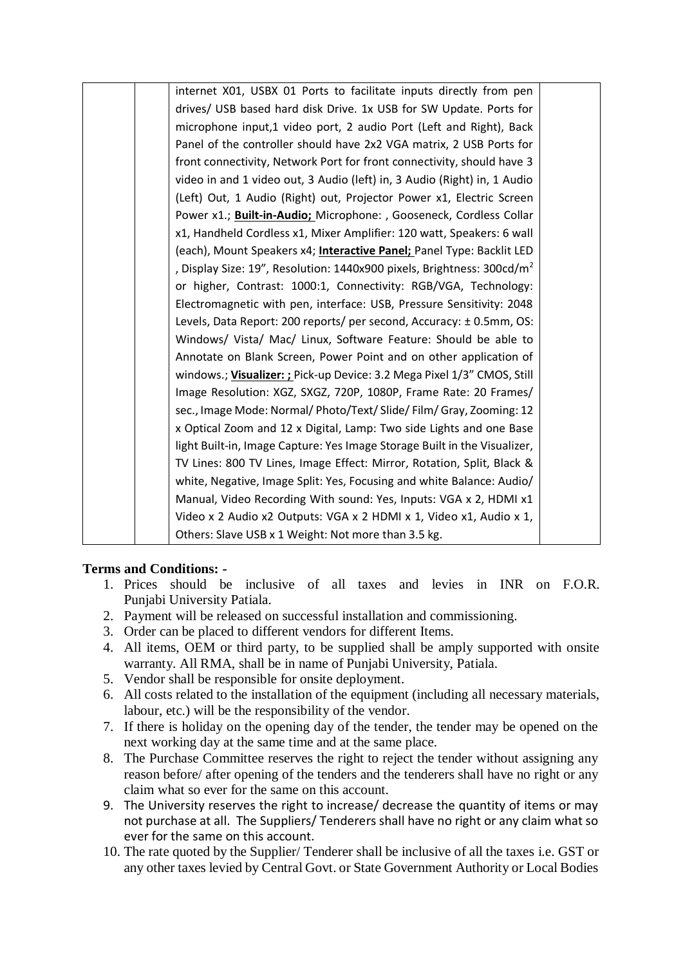| internet X01, USBX 01 Ports to facilitate inputs directly from pen        |  |
|---------------------------------------------------------------------------|--|
| drives/ USB based hard disk Drive. 1x USB for SW Update. Ports for        |  |
| microphone input,1 video port, 2 audio Port (Left and Right), Back        |  |
| Panel of the controller should have 2x2 VGA matrix, 2 USB Ports for       |  |
| front connectivity, Network Port for front connectivity, should have 3    |  |
| video in and 1 video out, 3 Audio (left) in, 3 Audio (Right) in, 1 Audio  |  |
| (Left) Out, 1 Audio (Right) out, Projector Power x1, Electric Screen      |  |
| Power x1.; Built-in-Audio; Microphone: , Gooseneck, Cordless Collar       |  |
| x1, Handheld Cordless x1, Mixer Amplifier: 120 watt, Speakers: 6 wall     |  |
| (each), Mount Speakers x4; Interactive Panel; Panel Type: Backlit LED     |  |
| , Display Size: 19", Resolution: 1440x900 pixels, Brightness: 300cd/ $m2$ |  |
| or higher, Contrast: 1000:1, Connectivity: RGB/VGA, Technology:           |  |
| Electromagnetic with pen, interface: USB, Pressure Sensitivity: 2048      |  |
| Levels, Data Report: 200 reports/ per second, Accuracy: ±0.5mm, OS:       |  |
| Windows/ Vista/ Mac/ Linux, Software Feature: Should be able to           |  |
| Annotate on Blank Screen, Power Point and on other application of         |  |
| windows.; Visualizer: ; Pick-up Device: 3.2 Mega Pixel 1/3" CMOS, Still   |  |
| Image Resolution: XGZ, SXGZ, 720P, 1080P, Frame Rate: 20 Frames/          |  |
| sec., Image Mode: Normal/ Photo/Text/ Slide/ Film/ Gray, Zooming: 12      |  |
| x Optical Zoom and 12 x Digital, Lamp: Two side Lights and one Base       |  |
| light Built-in, Image Capture: Yes Image Storage Built in the Visualizer, |  |
| TV Lines: 800 TV Lines, Image Effect: Mirror, Rotation, Split, Black &    |  |
| white, Negative, Image Split: Yes, Focusing and white Balance: Audio/     |  |
| Manual, Video Recording With sound: Yes, Inputs: VGA x 2, HDMI x1         |  |
| Video x 2 Audio x2 Outputs: VGA x 2 HDMI x 1, Video x1, Audio x 1,        |  |
| Others: Slave USB x 1 Weight: Not more than 3.5 kg.                       |  |

#### **Terms and Conditions: -**

- 1. Prices should be inclusive of all taxes and levies in INR on F.O.R. Punjabi University Patiala.
- 2. Payment will be released on successful installation and commissioning.
- 3. Order can be placed to different vendors for different Items.
- 4. All items, OEM or third party, to be supplied shall be amply supported with onsite warranty. All RMA, shall be in name of Punjabi University, Patiala.
- 5. Vendor shall be responsible for onsite deployment.
- 6. All costs related to the installation of the equipment (including all necessary materials, labour, etc.) will be the responsibility of the vendor.
- 7. If there is holiday on the opening day of the tender, the tender may be opened on the next working day at the same time and at the same place.
- 8. The Purchase Committee reserves the right to reject the tender without assigning any reason before/ after opening of the tenders and the tenderers shall have no right or any claim what so ever for the same on this account.
- 9. The University reserves the right to increase/ decrease the quantity of items or may not purchase at all. The Suppliers/ Tenderers shall have no right or any claim what so ever for the same on this account.
- 10. The rate quoted by the Supplier/ Tenderer shall be inclusive of all the taxes i.e. GST or any other taxes levied by Central Govt. or State Government Authority or Local Bodies